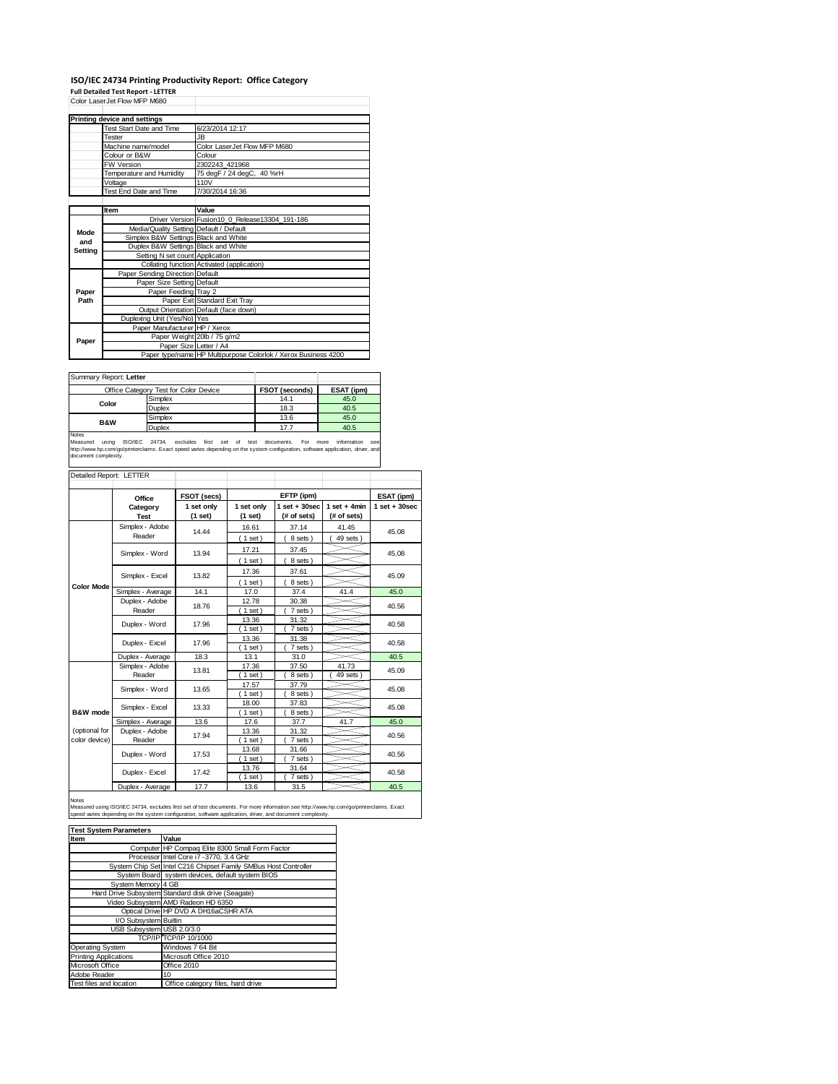### **ISO/IEC 24734 Printing Productivity Report: Office Category**

**Full Detailed Test Report ‐ LETTER** Color LaserJet Flow MFP M680

|         | CONI LASEIJEL FIUW IVIFF IVIOOU         |                                                                |  |  |  |  |
|---------|-----------------------------------------|----------------------------------------------------------------|--|--|--|--|
|         | Printing device and settings            |                                                                |  |  |  |  |
|         | Test Start Date and Time                | 6/23/2014 12:17                                                |  |  |  |  |
|         | Tester                                  | JB.                                                            |  |  |  |  |
|         | Machine name/model                      | Color LaserJet Flow MFP M680                                   |  |  |  |  |
|         | Colour or B&W                           | Colour                                                         |  |  |  |  |
|         | <b>FW Version</b>                       | 2302243 421968                                                 |  |  |  |  |
|         | Temperature and Humidity                | 75 degF / 24 degC, 40 %rH                                      |  |  |  |  |
|         | Voltage                                 | 110V                                                           |  |  |  |  |
|         | Test End Date and Time                  | 7/30/2014 16:36                                                |  |  |  |  |
|         |                                         |                                                                |  |  |  |  |
|         | Item                                    | Value                                                          |  |  |  |  |
|         |                                         | Driver Version Fusion10 0 Release13304 191-186                 |  |  |  |  |
| Mode    | Media/Quality Setting Default / Default |                                                                |  |  |  |  |
| and     | Simplex B&W Settings Black and White    |                                                                |  |  |  |  |
| Setting | Duplex B&W Settings Black and White     |                                                                |  |  |  |  |
|         | Setting N set count Application         |                                                                |  |  |  |  |
|         |                                         | Collating function Activated (application)                     |  |  |  |  |
|         | Paper Sending Direction Default         |                                                                |  |  |  |  |
|         | Paper Size Setting Default              |                                                                |  |  |  |  |
| Paper   | Paper Feeding Tray 2                    |                                                                |  |  |  |  |
| Path    |                                         | Paper Exit Standard Exit Tray                                  |  |  |  |  |
|         |                                         | Output Orientation Default (face down)                         |  |  |  |  |
|         | Duplexing Unit (Yes/No) Yes             |                                                                |  |  |  |  |
|         | Paper Manufacturer HP / Xerox           |                                                                |  |  |  |  |
| Paper   |                                         | Paper Weight 20lb / 75 g/m2                                    |  |  |  |  |
|         | Paper Size Letter / A4                  |                                                                |  |  |  |  |
|         |                                         | Paper type/name HP Multipurpose Colorlok / Xerox Business 4200 |  |  |  |  |

Summary Report: **Letter**

| <b>JUILLIALY REDUIT.</b> LETTER |                                       |                       |            |
|---------------------------------|---------------------------------------|-----------------------|------------|
|                                 | Office Category Test for Color Device | <b>FSOT (seconds)</b> | ESAT (ipm) |
|                                 | Simplex                               | 14.1                  | 45.0       |
| Color                           | Duplex                                | 18.3                  | 40.5       |
| <b>B&amp;W</b>                  | Simplex                               | 13.6                  | 45.0       |
|                                 | Duplex                                | 17.7                  | 40.5       |
| Notes                           |                                       |                       |            |

Notes<br>Measured using ISO/IEC 24734, excludes first set of test documents. For more information see<br>http://www.hp.com/go/printerclaims.Exactspeed.varies.depending.on.the.system.configuration,software.application,driver,and<br>

| Detailed Report: LETTER        |                           |                       |                       |                                  |                               |                   |
|--------------------------------|---------------------------|-----------------------|-----------------------|----------------------------------|-------------------------------|-------------------|
|                                | Office                    | FSOT (secs)           |                       | EFTP (ipm)                       |                               | ESAT (ipm)        |
|                                | Category<br><b>Test</b>   | 1 set only<br>(1 set) | 1 set only<br>(1 set) | $1$ set $+30$ sec<br>(# of sets) | $1$ set + 4min<br>(# of sets) | $1$ set $+30$ sec |
|                                | Simplex - Adobe<br>Reader | 14.44                 | 16.61<br>(1 set)      | 37.14<br>8 sets)                 | 41.45<br>49 sets              | 45.08             |
|                                | Simplex - Word            | 13.94                 | 17.21<br>(1 set)      | 37.45<br>8 sets)                 |                               | 45.08             |
|                                | Simplex - Excel           | 13.82                 | 17.36<br>$1$ set)     | 37.61<br>8 sets)                 |                               | 45.09             |
| <b>Color Mode</b>              | Simplex - Average         | 14.1                  | 17.0                  | 37.4                             | 41.4                          | 45.0              |
|                                | Duplex - Adobe<br>Reader  | 18.76                 | 12.78<br>$1$ set)     | 30.38<br>7 sets)                 |                               | 40.56             |
|                                | Duplex - Word             | 17.96                 | 13.36<br>$1$ set)     | 31.32<br>7 sets)                 |                               | 40.58             |
|                                | Duplex - Excel            | 17.96                 | 13.36<br>$1$ set)     | 31.38<br>7 sets)                 |                               | 40.58             |
|                                | Duplex - Average          | 18.3                  | 13.1                  | 31.0                             |                               | 40.5              |
|                                | Simplex - Adobe<br>Reader | 13.81                 | 17.36<br>$1$ set)     | 37.50<br>8 sets                  | 41.73<br>49 sets              | 45.09             |
|                                | Simplex - Word            | 13.65                 | 17.57<br>$1$ set)     | 37.79<br>8 sets)                 |                               | 45.08             |
| B&W mode                       | Simplex - Excel           | 13.33                 | 18.00<br>$1$ set)     | 37.83<br>8 sets)                 |                               | 45.08             |
|                                | 13.6<br>Simplex - Average |                       | 17.6                  | 37.7                             | 41.7                          | 45.0              |
| (optional for<br>color device) | Duplex - Adobe<br>Reader  | 17.94                 | 13.36<br>$1$ set)     | 31.32<br>7 sets)                 |                               | 40.56             |
|                                | Duplex - Word             | 17.53                 | 13.68<br>$1$ set)     | 31.66<br>7 sets)                 |                               | 40.56             |
|                                | Duplex - Excel            | 17.42                 | 13.76<br>$1$ set)     | 31.64<br>7 sets)                 |                               | 40.58             |
|                                | Duplex - Average          | 17.7                  | 13.6                  | 31.5                             |                               | 40.5              |

Notes<br>Measured using ISO/IEC 24734, excludes first set of test documents. For more information see http://www.hp.com/go/printerclaims. Exact<br>speed varies depending on the system configuration, software application, driver,

| <b>Test System Parameters</b> |                                                                 |  |  |  |
|-------------------------------|-----------------------------------------------------------------|--|--|--|
| Item                          | Value                                                           |  |  |  |
|                               | Computer HP Compaq Elite 8300 Small Form Factor                 |  |  |  |
|                               | Processor Intel Core i7 -3770, 3.4 GHz                          |  |  |  |
|                               | System Chip Set Intel C216 Chipset Family SMBus Host Controller |  |  |  |
|                               | System Board system devices, default system BIOS                |  |  |  |
| System Memory 4 GB            |                                                                 |  |  |  |
|                               | Hard Drive Subsystem Standard disk drive (Seagate)              |  |  |  |
|                               | Video Subsystem AMD Radeon HD 6350                              |  |  |  |
|                               | Optical Drive HP DVD A DH16aCSHR ATA                            |  |  |  |
| I/O Subsystem Builtin         |                                                                 |  |  |  |
| USB Subsystem USB 2.0/3.0     |                                                                 |  |  |  |
|                               | TCP/IP TCP/IP 10/1000                                           |  |  |  |
| Operating System              | Windows 7 64 Bit                                                |  |  |  |
| <b>Printing Applications</b>  | Microsoft Office 2010                                           |  |  |  |
| Microsoft Office              | Office 2010                                                     |  |  |  |
| Adobe Reader                  | 10                                                              |  |  |  |
| Test files and location       | Office category files, hard drive                               |  |  |  |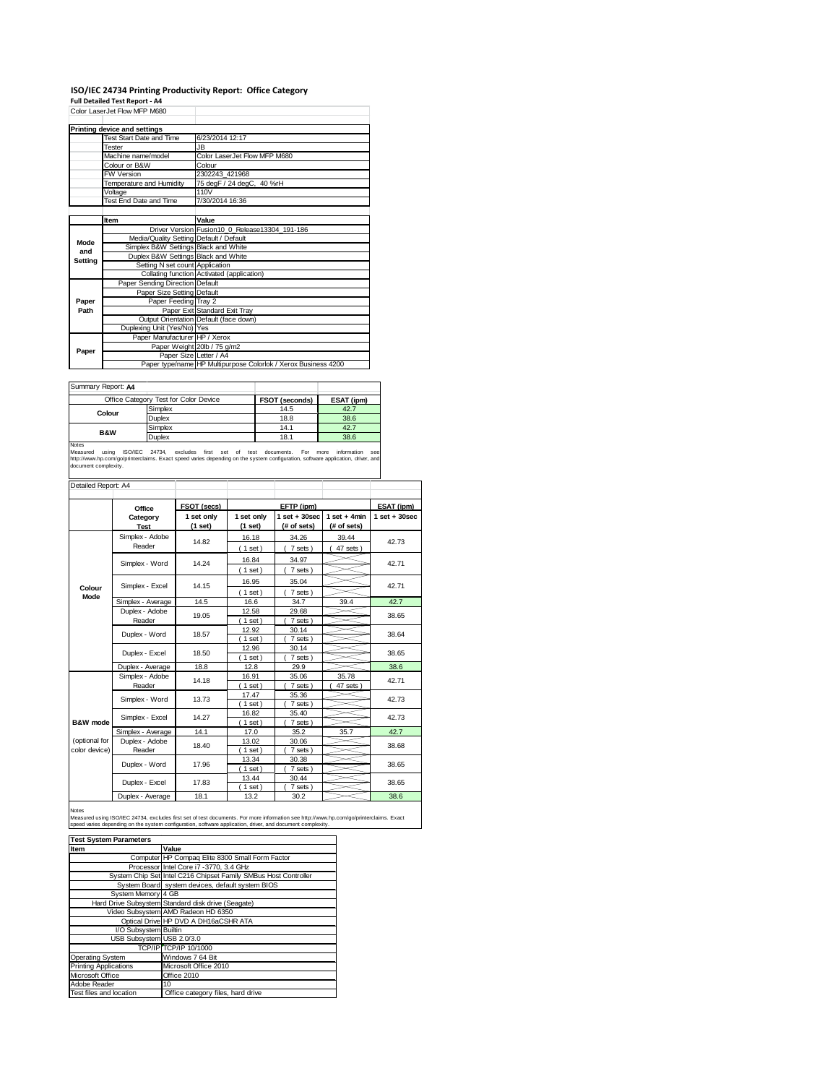# **ISO/IEC 24734 Printing Productivity Report: Office Category Full Detailed Test Report ‐ A4** Color LaserJet Flow MFP M680

|         | CONI LASEIJEL FIUW IVIFF IVIOOU         |                                                                |
|---------|-----------------------------------------|----------------------------------------------------------------|
|         |                                         |                                                                |
|         | Printing device and settings            |                                                                |
|         | <b>Test Start Date and Time</b>         | 6/23/2014 12:17                                                |
|         | <b>Tester</b>                           | <b>JB</b>                                                      |
|         | Machine name/model                      | Color LaserJet Flow MFP M680                                   |
|         | Colour or B&W                           | Colour                                                         |
|         | <b>FW Version</b>                       | 2302243 421968                                                 |
|         | Temperature and Humidity                | 75 degF / 24 degC, 40 %rH                                      |
|         | Voltage                                 | 110V                                                           |
|         | Test End Date and Time                  | 7/30/2014 16:36                                                |
|         |                                         |                                                                |
|         | Item                                    | Value                                                          |
|         |                                         | Driver Version Fusion 10 0 Release 13304 191-186               |
| Mode    | Media/Quality Setting Default / Default |                                                                |
| and     | Simplex B&W Settings Black and White    |                                                                |
| Setting | Duplex B&W Settings Black and White     |                                                                |
|         | Setting N set count Application         |                                                                |
|         |                                         | Collating function Activated (application)                     |
|         | Paper Sending Direction Default         |                                                                |
|         | Paper Size Setting Default              |                                                                |
| Paper   | Paper Feeding Tray 2                    |                                                                |
| Path    |                                         | Paper Exit Standard Exit Tray                                  |
|         |                                         | Output Orientation Default (face down)                         |
|         | Duplexing Unit (Yes/No) Yes             |                                                                |
|         | Paper Manufacturer HP / Xerox           |                                                                |
| Paper   |                                         | Paper Weight 20lb / 75 g/m2                                    |
|         | Paper Size Letter / A4                  |                                                                |
|         |                                         | Paper type/name HP Multipurpose Colorlok / Xerox Business 4200 |

| Summary Report: A4 |                                       |                |            |
|--------------------|---------------------------------------|----------------|------------|
|                    | Office Category Test for Color Device | FSOT (seconds) | ESAT (ipm) |
| Colour             | Simplex                               | 14.5           | 42.7       |
|                    | Duplex                                | 18.8           | 38.6       |
| <b>B&amp;W</b>     | Simplex                               | 14.1           | 42.7       |
|                    | Duplex                                | 18.1           | 38.6       |
| <b>Notes</b>       |                                       |                |            |

Notes<br>Measured using ISO/IEC 24734, excludes first set of test documents. For more information see<br>http://www.hp.com/go/printerclaims. Exact\_speed\_varies\_depending.on\_the\_system\_configuration,software\_application,driver,an

| Detailed Report: A4            |                                   |                       |                         |                                  |                               |                   |
|--------------------------------|-----------------------------------|-----------------------|-------------------------|----------------------------------|-------------------------------|-------------------|
|                                | Office                            | FSOT (secs)           |                         | EFTP (ipm)                       |                               | ESAT (ipm)        |
|                                | Category<br><b>Test</b>           | 1 set only<br>(1 set) | 1 set only<br>$(1$ set) | $1$ set $+30$ sec<br>(# of sets) | $1$ set + 4min<br>(# of sets) | $1$ set $+30$ sec |
|                                | Simplex - Adobe<br>Reader         | 14.82                 | 16.18<br>$1$ set)       | 34.26<br>7 sets)                 | 39.44<br>47 sets              | 42.73             |
|                                | Simplex - Word                    | 14.24                 | 16.84<br>(1 set)        | 34.97<br>7 sets)                 |                               | 42.71             |
| Colour                         | Simplex - Excel                   | 14.15                 | 16.95<br>(1 set)        | 35.04<br>7 sets)                 |                               | 42.71             |
| Mode                           | Simplex - Average                 | 14.5                  | 16.6                    | 34.7                             | 39.4                          | 42.7              |
|                                | Duplex - Adobe<br>19.05<br>Reader |                       | 12.58<br>$1$ set)       | 29.68<br>7 sets)                 |                               | 38.65             |
|                                | Duplex - Word                     | 18.57                 | 12.92<br>$1$ set)       | 30.14<br>7 sets)                 |                               | 38.64             |
|                                | Duplex - Excel                    | 18.50                 | 12.96<br>$1$ set)       | 30.14<br>7 sets )                |                               | 38.65             |
|                                | Duplex - Average                  | 18.8                  | 12.8                    | 29.9                             |                               | 38.6              |
|                                | Simplex - Adobe<br>Reader         | 14.18                 | 16.91<br>$1$ set)       | 35.06<br>7 sets)                 | 35.78<br>47 sets              | 42.71             |
|                                | Simplex - Word                    | 13.73                 | 17.47<br>$1$ set)       | 35.36<br>7 sets)                 |                               | 42.73             |
| B&W mode                       | Simplex - Excel                   | 14.27                 | 16.82<br>$1$ set)       | 35.40<br>7 sets)                 |                               | 42.73             |
|                                | Simplex - Average                 | 14.1                  | 17.0                    | 35.2                             | 35.7                          | 42.7              |
| (optional for<br>color device) | Duplex - Adobe<br>Reader          | 18.40                 | 13.02<br>$1$ set)       | 30.06<br>7 sets)                 |                               | 38.68             |
|                                | Duplex - Word                     | 17.96                 | 13.34<br>$1$ set)       | 30.38<br>7 sets)                 |                               | 38.65             |
|                                | Duplex - Excel                    | 17.83                 | 13.44<br>$1$ set)       | 30.44<br>7 sets)                 |                               | 38.65             |
|                                | Duplex - Average                  | 18.1                  | 13.2                    | 30.2                             |                               | 38.6              |

#### Notes

Measured using ISO/IEC 24734, excludes first set of test documents. For more information see http://www.hp.com/go/printerclaims. Exact<br>speed varies depending on the system configuration, software application, driver, and d

| <b>Test System Parameters</b> |                                                                 |  |  |  |
|-------------------------------|-----------------------------------------------------------------|--|--|--|
| Item                          | Value                                                           |  |  |  |
|                               | Computer HP Compag Elite 8300 Small Form Factor                 |  |  |  |
|                               | Processor Intel Core i7 -3770, 3.4 GHz                          |  |  |  |
|                               | System Chip Set Intel C216 Chipset Family SMBus Host Controller |  |  |  |
|                               | System Board system devices, default system BIOS                |  |  |  |
| System Memory 4 GB            |                                                                 |  |  |  |
|                               | Hard Drive Subsystem Standard disk drive (Seagate)              |  |  |  |
|                               | Video Subsystem AMD Radeon HD 6350                              |  |  |  |
|                               | Optical Drive HP DVD A DH16aCSHR ATA                            |  |  |  |
| I/O Subsystem Builtin         |                                                                 |  |  |  |
| USB Subsystem USB 2.0/3.0     |                                                                 |  |  |  |
|                               | TCP/IP TCP/IP 10/1000                                           |  |  |  |
| <b>Operating System</b>       | Windows 7 64 Bit                                                |  |  |  |
| <b>Printing Applications</b>  | Microsoft Office 2010                                           |  |  |  |
| Microsoft Office              | Office 2010                                                     |  |  |  |
| Adobe Reader                  | 10                                                              |  |  |  |
| Test files and location       | Office category files, hard drive                               |  |  |  |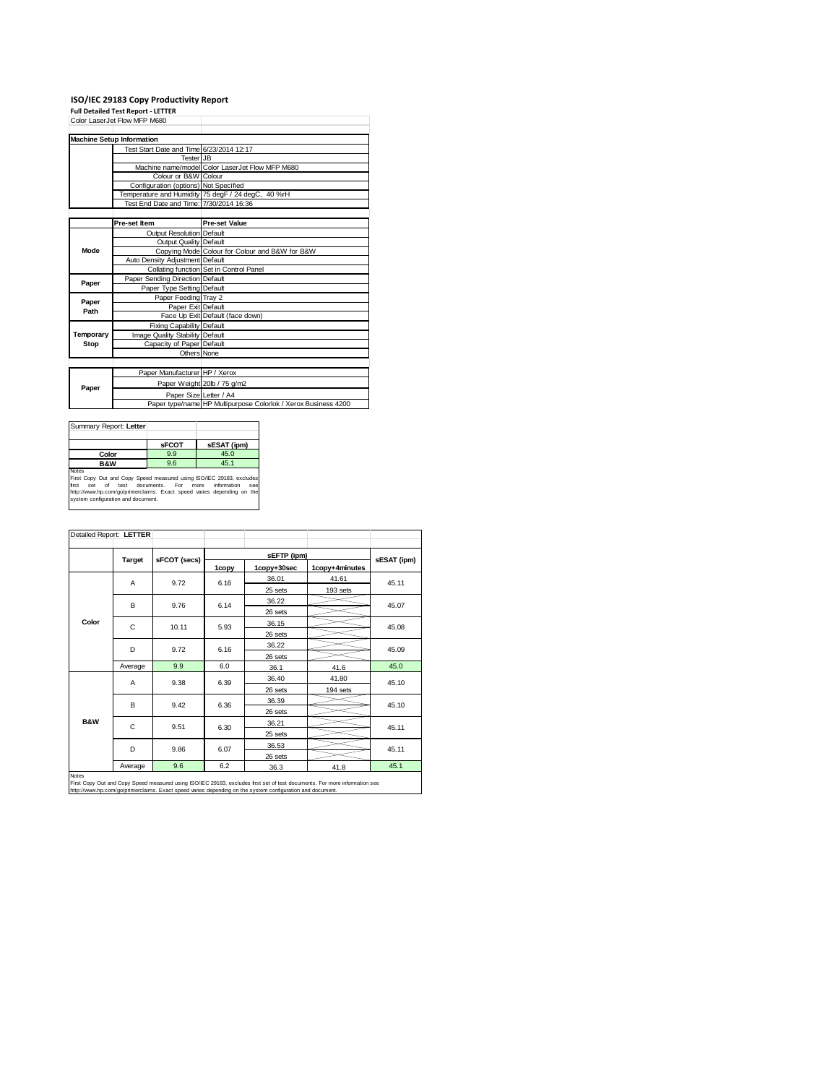## **ISO/IEC 29183 Copy Productivity Report Full Detailed Test Report ‐ LETTER** Color LaserJet Flow MFP M680

|           | <b>Machine Setup Information</b>         |                                                                |
|-----------|------------------------------------------|----------------------------------------------------------------|
|           | Test Start Date and Time 6/23/2014 12:17 |                                                                |
|           | Tester JB                                |                                                                |
|           |                                          | Machine name/model Color LaserJet Flow MFP M680                |
|           | Colour or B&W Colour                     |                                                                |
|           | Configuration (options) Not Specified    |                                                                |
|           |                                          | Temperature and Humidity 75 degF / 24 degC, 40 %rH             |
|           | Test End Date and Time: 7/30/2014 16:36  |                                                                |
|           |                                          |                                                                |
|           | Pre-set Item                             | <b>Pre-set Value</b>                                           |
|           | Output Resolution Default                |                                                                |
|           | Output Quality Default                   |                                                                |
| Mode      |                                          | Copying Mode Colour for Colour and B&W for B&W                 |
|           | <b>Auto Density Adjustment Default</b>   |                                                                |
|           |                                          | Collating function Set in Control Panel                        |
| Paper     | Paper Sending Direction Default          |                                                                |
|           | Paper Type Setting Default               |                                                                |
| Paper     | Paper Feeding Tray 2                     |                                                                |
| Path      | Paper Exit Default                       |                                                                |
|           |                                          | Face Up Exit Default (face down)                               |
|           | <b>Fixing Capability Default</b>         |                                                                |
| Temporary | Image Quality Stability Default          |                                                                |
| Stop      | Capacity of Paper Default                |                                                                |
|           | Others None                              |                                                                |
|           |                                          |                                                                |
|           | Paper Manufacturer HP / Xerox            |                                                                |
| Paper     |                                          | Paper Weight 20lb / 75 g/m2                                    |
|           | Paper Size Letter / A4                   |                                                                |
|           |                                          | Paper type/name HP Multipurpose Colorlok / Xerox Business 4200 |

| Summary Report: Letter                                                                                                                                                                                                                                                           |              |             |  |  |
|----------------------------------------------------------------------------------------------------------------------------------------------------------------------------------------------------------------------------------------------------------------------------------|--------------|-------------|--|--|
|                                                                                                                                                                                                                                                                                  | <b>SFCOT</b> | sESAT (ipm) |  |  |
| Color                                                                                                                                                                                                                                                                            | 9.9          | 45.0        |  |  |
| <b>B&amp;W</b>                                                                                                                                                                                                                                                                   | 9.6          | 45.1        |  |  |
| <b>Notes</b><br>First Copy Out and Copy Speed measured using ISO/IEC 29183, excludes<br>information<br>of<br>test documents. For<br>first<br>more<br>Set<br>SAR<br>http://www.hp.com/go/printerclaims. Exact speed varies depending on the<br>system configuration and document. |              |             |  |  |

| Detailed Report: LETTER |               |              |       |             |                |             |
|-------------------------|---------------|--------------|-------|-------------|----------------|-------------|
|                         |               |              |       | sEFTP (ipm) |                | sESAT (ipm) |
|                         | <b>Target</b> | sFCOT (secs) | 1copy | 1copy+30sec | 1copy+4minutes |             |
|                         | A             | 9.72         | 6.16  | 36.01       | 41.61          | 45.11       |
|                         |               |              |       | 25 sets     | 193 sets       |             |
|                         | B             | 9.76         | 6.14  | 36.22       |                | 45.07       |
|                         |               |              |       | 26 sets     |                |             |
| Color                   | C             | 10.11        | 5.93  | 36.15       |                | 45.08       |
|                         |               |              |       | 26 sets     |                |             |
|                         | D             | 9.72         | 6.16  | 36.22       |                | 45.09       |
|                         |               |              |       | 26 sets     |                |             |
|                         | Average       | 9.9          | 6.0   | 36.1        | 41.6           | 45.0        |
|                         | A             | 9.38         | 6.39  | 36.40       | 41.80          | 45.10       |
|                         |               |              |       | 26 sets     | 194 sets       |             |
|                         | B             | 9.42         | 6.36  | 36.39       |                | 45.10       |
|                         |               |              |       | 26 sets     |                |             |
| <b>B&amp;W</b>          | C             | 9.51         | 6.30  | 36.21       |                | 45.11       |
|                         |               |              |       | 25 sets     |                |             |
|                         | D             | 9.86         | 6.07  | 36.53       |                | 45.11       |
|                         |               |              |       | 26 sets     |                |             |
|                         | Average       | 9.6          | 6.2   | 36.3        | 41.8           | 45.1        |